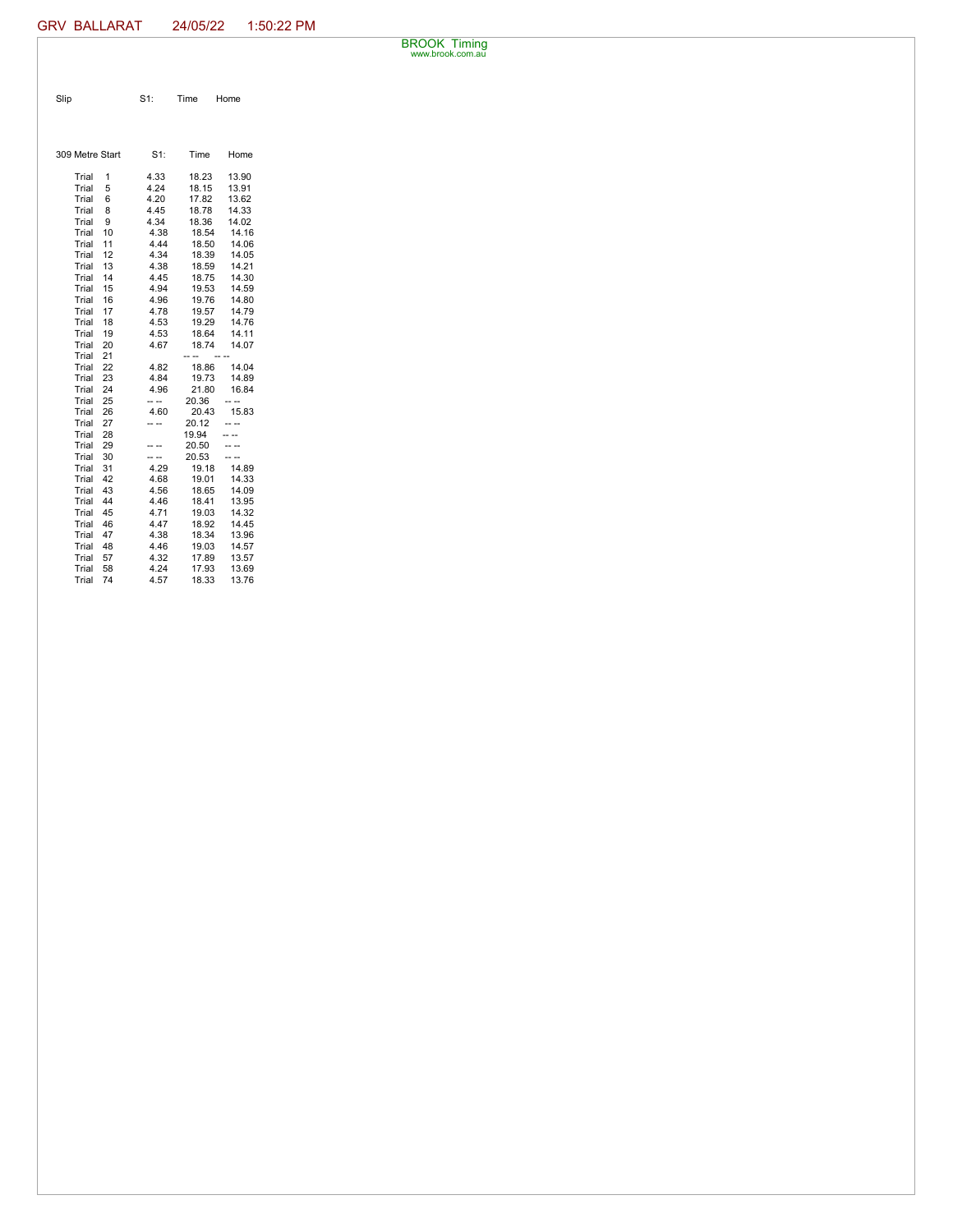BROOK Timing www.brook.com.au

| Slip | S1: Time Home |  |
|------|---------------|--|
|      |               |  |

| 309 Metre Start |    | $S1$ : | Time  | Home  |
|-----------------|----|--------|-------|-------|
| Trial           | 1  | 4.33   | 18.23 | 13.90 |
| Trial           | 5  | 4.24   | 18.15 | 13.91 |
| Trial           | 6  | 4.20   | 17.82 | 13.62 |
| Trial           | 8  | 4.45   | 18.78 | 14.33 |
| Trial           | 9  | 4.34   | 18.36 | 14.02 |
| Trial           | 10 | 4.38   | 18.54 | 14.16 |
| Trial           | 11 | 4.44   | 18.50 | 14.06 |
| Trial           | 12 | 4.34   | 18.39 | 14.05 |
| Trial           | 13 | 4.38   | 18.59 | 14.21 |
| Trial           | 14 | 4.45   | 18.75 | 14.30 |
| Trial           | 15 | 4.94   | 19.53 | 14.59 |
| Trial           | 16 | 4.96   | 19.76 | 14.80 |
| Trial           | 17 | 4.78   | 19.57 | 14.79 |
| Trial           | 18 | 4.53   | 19.29 | 14.76 |
| Trial           | 19 | 4.53   | 18.64 | 14.11 |
| Trial           | 20 | 4.67   | 18.74 | 14.07 |
| Trial           | 21 |        |       |       |
| Trial           | 22 | 4.82   | 18.86 | 14.04 |
| Trial           | 23 | 4.84   | 19.73 | 14.89 |
| Trial           | 24 | 4.96   | 21.80 | 16.84 |
| Trial           | 25 | -- --  | 20.36 |       |
| Trial           | 26 | 4.60   | 20.43 | 15.83 |
| Trial           | 27 | - --   | 20.12 |       |
| Trial           | 28 |        | 19.94 |       |
| Trial           | 29 |        | 20.50 |       |
| Trial           | 30 | .      | 20.53 |       |
| Trial           | 31 | 4.29   | 19.18 | 14.89 |
| Trial           | 42 | 4.68   | 19.01 | 14.33 |
| Trial           | 43 | 4.56   | 18.65 | 14.09 |
| Trial           | 44 | 4.46   | 18.41 | 13.95 |
| Trial           | 45 | 4.71   | 19.03 | 14.32 |
| Trial           | 46 | 4.47   | 18.92 | 14.45 |
| Trial           | 47 | 4.38   | 18.34 | 13.96 |
| Trial           | 48 | 4.46   | 19.03 | 14.57 |
| Trial           | 57 | 4.32   | 17.89 | 13.57 |
| Trial           | 58 | 4.24   | 17.93 | 13.69 |
| Trial           | 74 | 4.57   | 18.33 | 13.76 |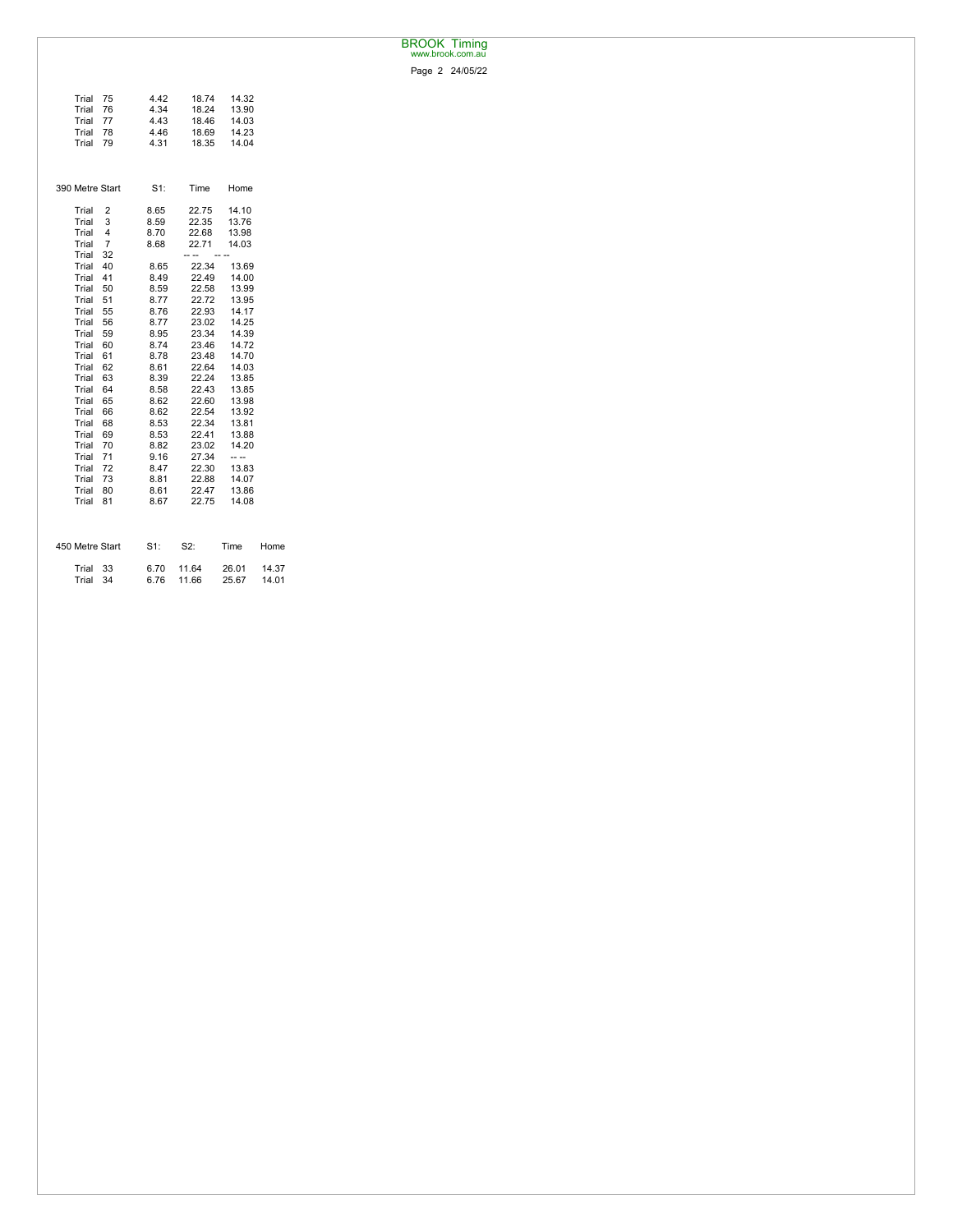## BROOK Timing www.brook.com.au

Page 2 24/05/22

| Trial           | 75             | 4.42   | 18.74 | 14.32 |       |
|-----------------|----------------|--------|-------|-------|-------|
| Trial           | 76             | 4.34   | 18.24 | 13.90 |       |
| Trial           | 77             | 4.43   | 18.46 | 14.03 |       |
| Trial           | 78             | 4.46   | 18.69 | 14.23 |       |
| Trial           | 79             | 4.31   | 18.35 | 14.04 |       |
|                 |                |        |       |       |       |
|                 |                |        |       |       |       |
|                 |                |        |       |       |       |
| 390 Metre Start |                | $S1$ : | Time  | Home  |       |
|                 |                |        |       |       |       |
| Trial           | 2              | 8.65   | 22.75 | 14.10 |       |
| Trial           | 3              | 8.59   | 22.35 | 13.76 |       |
| Trial           | 4              | 8.70   | 22.68 | 13.98 |       |
| Trial           | $\overline{7}$ | 8.68   | 22.71 | 14.03 |       |
| Trial           | 32             |        | .     |       |       |
| Trial           | 40             | 8.65   | 22.34 | 13.69 |       |
| Trial           | 41             | 8.49   | 22.49 | 14.00 |       |
| Trial           | 50             | 8.59   | 22.58 | 13.99 |       |
| Trial           | 51             | 8.77   | 22.72 | 13.95 |       |
|                 |                |        |       |       |       |
| Trial           | 55             | 8.76   | 22.93 | 14.17 |       |
| Trial           | 56             | 8.77   | 23.02 | 14.25 |       |
| Trial           | 59             | 8.95   | 23.34 | 14.39 |       |
| Trial           | 60             | 8.74   | 23.46 | 14.72 |       |
| Trial           | 61             | 8.78   | 23.48 | 14.70 |       |
| Trial           | 62             | 8.61   | 22.64 | 14.03 |       |
| Trial           | 63             | 8.39   | 22.24 | 13.85 |       |
| Trial           | 64             | 8.58   | 22.43 | 13.85 |       |
| Trial           | 65             | 8.62   | 22.60 | 13.98 |       |
| Trial           | 66             | 8.62   | 22.54 | 13.92 |       |
| Trial           | 68             | 8.53   | 22.34 | 13.81 |       |
| Trial           | 69             | 8.53   | 22.41 | 13.88 |       |
| Trial           | 70             | 8.82   | 23.02 | 14.20 |       |
| Trial           | 71             | 9.16   | 27.34 | -- -- |       |
| Trial           | 72             | 8.47   | 22.30 | 13.83 |       |
| Trial           | 73             | 8.81   | 22.88 | 14.07 |       |
| Trial           | 80             | 8.61   | 22.47 | 13.86 |       |
| Trial           | 81             | 8.67   | 22.75 | 14.08 |       |
|                 |                |        |       |       |       |
| 450 Metre Start |                | S1:    | S2:   | Time  | Home  |
|                 |                |        |       |       |       |
| Trial           | 33             | 6.70   | 11.64 | 26.01 | 14.37 |
| Trial           | 34             | 6.76   | 11.66 | 25.67 | 14.01 |
|                 |                |        |       |       |       |